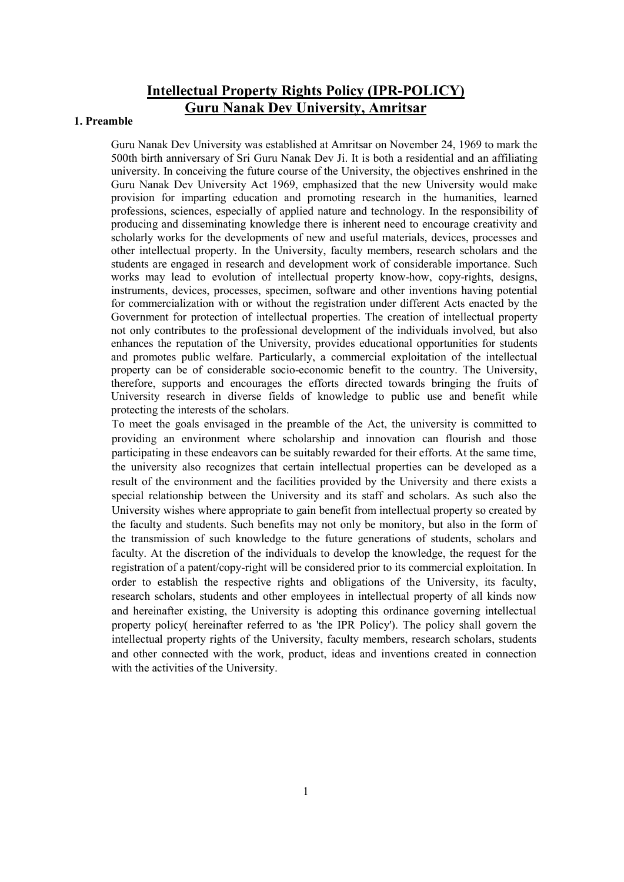# Intellectual Property Rights Policy (IPR-POLICY) Guru Nanak Dev University, Amritsar

#### 1. Preamble

Guru Nanak Dev University was established at Amritsar on November 24, 1969 to mark the 500th birth anniversary of Sri Guru Nanak Dev Ji. It is both a residential and an affiliating university. In conceiving the future course of the University, the objectives enshrined in the Guru Nanak Dev University Act 1969, emphasized that the new University would make provision for imparting education and promoting research in the humanities, learned professions, sciences, especially of applied nature and technology. In the responsibility of producing and disseminating knowledge there is inherent need to encourage creativity and scholarly works for the developments of new and useful materials, devices, processes and other intellectual property. In the University, faculty members, research scholars and the students are engaged in research and development work of considerable importance. Such works may lead to evolution of intellectual property know-how, copy-rights, designs, instruments, devices, processes, specimen, software and other inventions having potential for commercialization with or without the registration under different Acts enacted by the Government for protection of intellectual properties. The creation of intellectual property not only contributes to the professional development of the individuals involved, but also enhances the reputation of the University, provides educational opportunities for students and promotes public welfare. Particularly, a commercial exploitation of the intellectual property can be of considerable socio-economic benefit to the country. The University, therefore, supports and encourages the efforts directed towards bringing the fruits of University research in diverse fields of knowledge to public use and benefit while protecting the interests of the scholars.

To meet the goals envisaged in the preamble of the Act, the university is committed to providing an environment where scholarship and innovation can flourish and those participating in these endeavors can be suitably rewarded for their efforts. At the same time, the university also recognizes that certain intellectual properties can be developed as a result of the environment and the facilities provided by the University and there exists a special relationship between the University and its staff and scholars. As such also the University wishes where appropriate to gain benefit from intellectual property so created by the faculty and students. Such benefits may not only be monitory, but also in the form of the transmission of such knowledge to the future generations of students, scholars and faculty. At the discretion of the individuals to develop the knowledge, the request for the registration of a patent/copy-right will be considered prior to its commercial exploitation. In order to establish the respective rights and obligations of the University, its faculty, research scholars, students and other employees in intellectual property of all kinds now and hereinafter existing, the University is adopting this ordinance governing intellectual property policy( hereinafter referred to as 'the IPR Policy'). The policy shall govern the intellectual property rights of the University, faculty members, research scholars, students and other connected with the work, product, ideas and inventions created in connection with the activities of the University.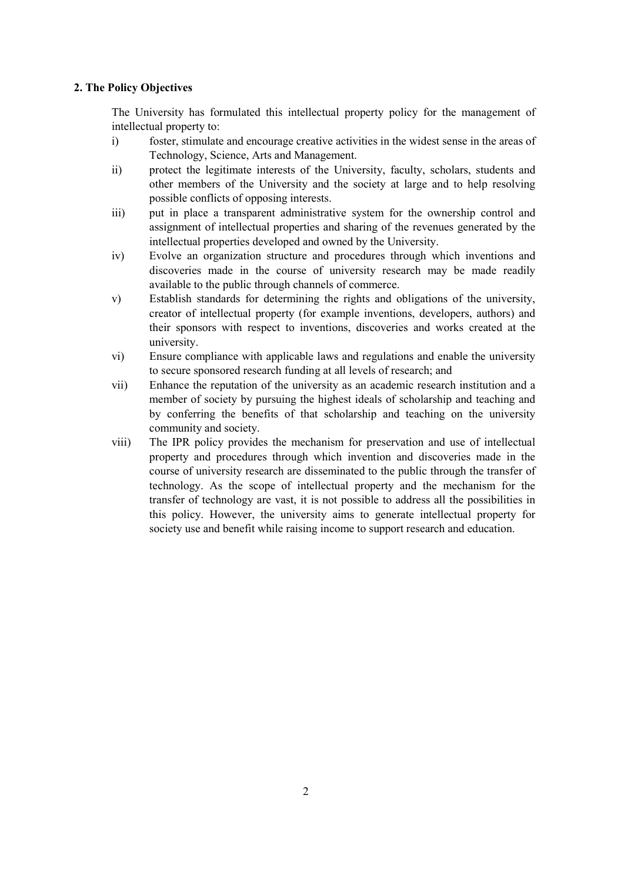#### 2. The Policy Objectives

The University has formulated this intellectual property policy for the management of intellectual property to:

- i) foster, stimulate and encourage creative activities in the widest sense in the areas of Technology, Science, Arts and Management.
- ii) protect the legitimate interests of the University, faculty, scholars, students and other members of the University and the society at large and to help resolving possible conflicts of opposing interests.
- iii) put in place a transparent administrative system for the ownership control and assignment of intellectual properties and sharing of the revenues generated by the intellectual properties developed and owned by the University.
- iv) Evolve an organization structure and procedures through which inventions and discoveries made in the course of university research may be made readily available to the public through channels of commerce.
- v) Establish standards for determining the rights and obligations of the university, creator of intellectual property (for example inventions, developers, authors) and their sponsors with respect to inventions, discoveries and works created at the university.
- vi) Ensure compliance with applicable laws and regulations and enable the university to secure sponsored research funding at all levels of research; and
- vii) Enhance the reputation of the university as an academic research institution and a member of society by pursuing the highest ideals of scholarship and teaching and by conferring the benefits of that scholarship and teaching on the university community and society.
- viii) The IPR policy provides the mechanism for preservation and use of intellectual property and procedures through which invention and discoveries made in the course of university research are disseminated to the public through the transfer of technology. As the scope of intellectual property and the mechanism for the transfer of technology are vast, it is not possible to address all the possibilities in this policy. However, the university aims to generate intellectual property for society use and benefit while raising income to support research and education.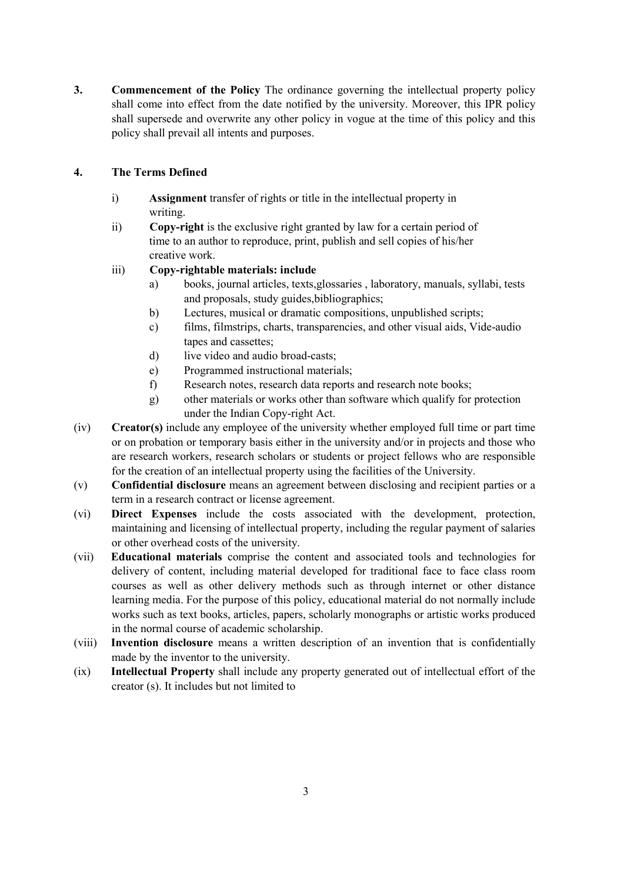3. Commencement of the Policy The ordinance governing the intellectual property policy shall come into effect from the date notified by the university. Moreover, this IPR policy shall supersede and overwrite any other policy in vogue at the time of this policy and this policy shall prevail all intents and purposes.

## 4. The Terms Defined

- i) Assignment transfer of rights or title in the intellectual property in writing.
- ii) Copy-right is the exclusive right granted by law for a certain period of time to an author to reproduce, print, publish and sell copies of his/her creative work.

## iii) Copy-rightable materials: include

- a) books, journal articles, texts,glossaries , laboratory, manuals, syllabi, tests and proposals, study guides,bibliographics;
- b) Lectures, musical or dramatic compositions, unpublished scripts;
- c) films, filmstrips, charts, transparencies, and other visual aids, Vide-audio tapes and cassettes;
- d) live video and audio broad-casts;
- e) Programmed instructional materials;
- f) Research notes, research data reports and research note books;
- g) other materials or works other than software which qualify for protection under the Indian Copy-right Act.
- (iv) Creator(s) include any employee of the university whether employed full time or part time or on probation or temporary basis either in the university and/or in projects and those who are research workers, research scholars or students or project fellows who are responsible for the creation of an intellectual property using the facilities of the University.
- (v) Confidential disclosure means an agreement between disclosing and recipient parties or a term in a research contract or license agreement.
- (vi) Direct Expenses include the costs associated with the development, protection, maintaining and licensing of intellectual property, including the regular payment of salaries or other overhead costs of the university.
- (vii) Educational materials comprise the content and associated tools and technologies for delivery of content, including material developed for traditional face to face class room courses as well as other delivery methods such as through internet or other distance learning media. For the purpose of this policy, educational material do not normally include works such as text books, articles, papers, scholarly monographs or artistic works produced in the normal course of academic scholarship.
- (viii) Invention disclosure means a written description of an invention that is confidentially made by the inventor to the university.
- (ix) Intellectual Property shall include any property generated out of intellectual effort of the creator (s). It includes but not limited to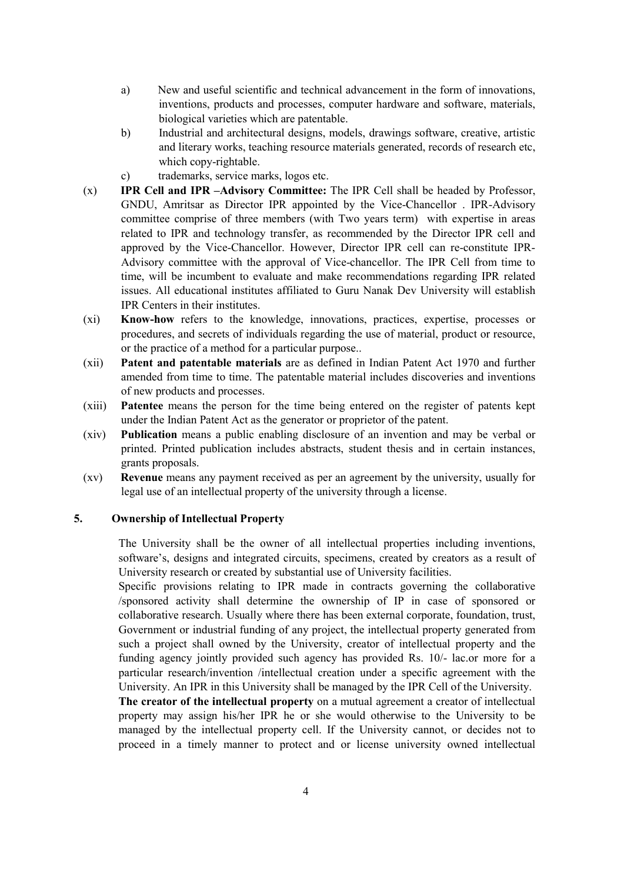- a) New and useful scientific and technical advancement in the form of innovations, inventions, products and processes, computer hardware and software, materials, biological varieties which are patentable.
- b) Industrial and architectural designs, models, drawings software, creative, artistic and literary works, teaching resource materials generated, records of research etc, which copy-rightable.
- c) trademarks, service marks, logos etc.
- (x) IPR Cell and IPR –Advisory Committee: The IPR Cell shall be headed by Professor, GNDU, Amritsar as Director IPR appointed by the Vice-Chancellor . IPR-Advisory committee comprise of three members (with Two years term) with expertise in areas related to IPR and technology transfer, as recommended by the Director IPR cell and approved by the Vice-Chancellor. However, Director IPR cell can re-constitute IPR-Advisory committee with the approval of Vice-chancellor. The IPR Cell from time to time, will be incumbent to evaluate and make recommendations regarding IPR related issues. All educational institutes affiliated to Guru Nanak Dev University will establish IPR Centers in their institutes.
- (xi) Know-how refers to the knowledge, innovations, practices, expertise, processes or procedures, and secrets of individuals regarding the use of material, product or resource, or the practice of a method for a particular purpose..
- (xii) Patent and patentable materials are as defined in Indian Patent Act 1970 and further amended from time to time. The patentable material includes discoveries and inventions of new products and processes.
- (xiii) Patentee means the person for the time being entered on the register of patents kept under the Indian Patent Act as the generator or proprietor of the patent.
- (xiv) Publication means a public enabling disclosure of an invention and may be verbal or printed. Printed publication includes abstracts, student thesis and in certain instances, grants proposals.
- (xv) Revenue means any payment received as per an agreement by the university, usually for legal use of an intellectual property of the university through a license.

#### 5. Ownership of Intellectual Property

The University shall be the owner of all intellectual properties including inventions, software's, designs and integrated circuits, specimens, created by creators as a result of University research or created by substantial use of University facilities.

Specific provisions relating to IPR made in contracts governing the collaborative /sponsored activity shall determine the ownership of IP in case of sponsored or collaborative research. Usually where there has been external corporate, foundation, trust, Government or industrial funding of any project, the intellectual property generated from such a project shall owned by the University, creator of intellectual property and the funding agency jointly provided such agency has provided Rs. 10/- lac.or more for a particular research/invention /intellectual creation under a specific agreement with the University. An IPR in this University shall be managed by the IPR Cell of the University.

The creator of the intellectual property on a mutual agreement a creator of intellectual property may assign his/her IPR he or she would otherwise to the University to be managed by the intellectual property cell. If the University cannot, or decides not to proceed in a timely manner to protect and or license university owned intellectual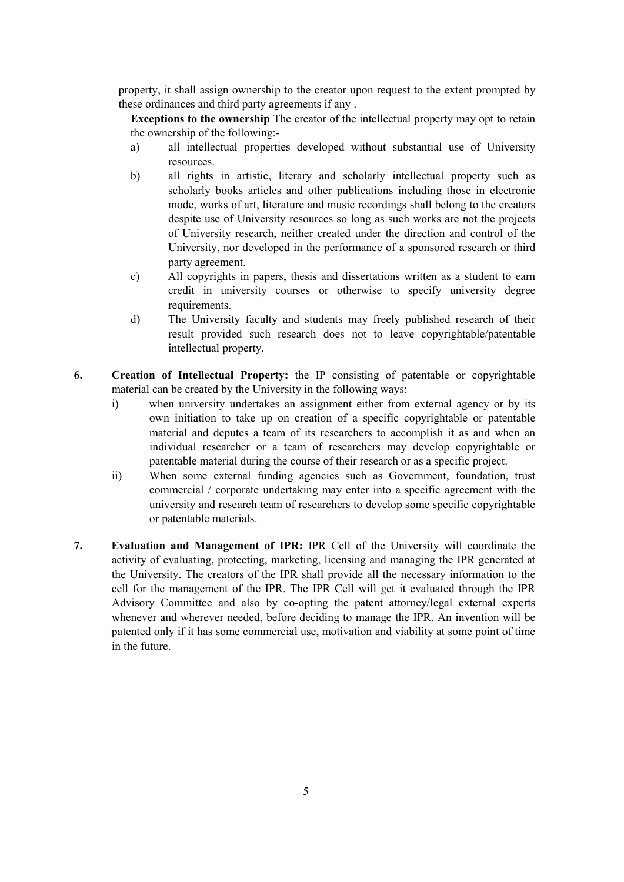property, it shall assign ownership to the creator upon request to the extent prompted by these ordinances and third party agreements if any .

Exceptions to the ownership The creator of the intellectual property may opt to retain the ownership of the following:-

- a) all intellectual properties developed without substantial use of University resources.
- b) all rights in artistic, literary and scholarly intellectual property such as scholarly books articles and other publications including those in electronic mode, works of art, literature and music recordings shall belong to the creators despite use of University resources so long as such works are not the projects of University research, neither created under the direction and control of the University, nor developed in the performance of a sponsored research or third party agreement.
- c) All copyrights in papers, thesis and dissertations written as a student to earn credit in university courses or otherwise to specify university degree requirements.
- d) The University faculty and students may freely published research of their result provided such research does not to leave copyrightable/patentable intellectual property.
- 6. Creation of Intellectual Property: the IP consisting of patentable or copyrightable material can be created by the University in the following ways:
	- i) when university undertakes an assignment either from external agency or by its own initiation to take up on creation of a specific copyrightable or patentable material and deputes a team of its researchers to accomplish it as and when an individual researcher or a team of researchers may develop copyrightable or patentable material during the course of their research or as a specific project.
	- ii) When some external funding agencies such as Government, foundation, trust commercial / corporate undertaking may enter into a specific agreement with the university and research team of researchers to develop some specific copyrightable or patentable materials.
- 7. Evaluation and Management of IPR: IPR Cell of the University will coordinate the activity of evaluating, protecting, marketing, licensing and managing the IPR generated at the University. The creators of the IPR shall provide all the necessary information to the cell for the management of the IPR. The IPR Cell will get it evaluated through the IPR Advisory Committee and also by co-opting the patent attorney/legal external experts whenever and wherever needed, before deciding to manage the IPR. An invention will be patented only if it has some commercial use, motivation and viability at some point of time in the future.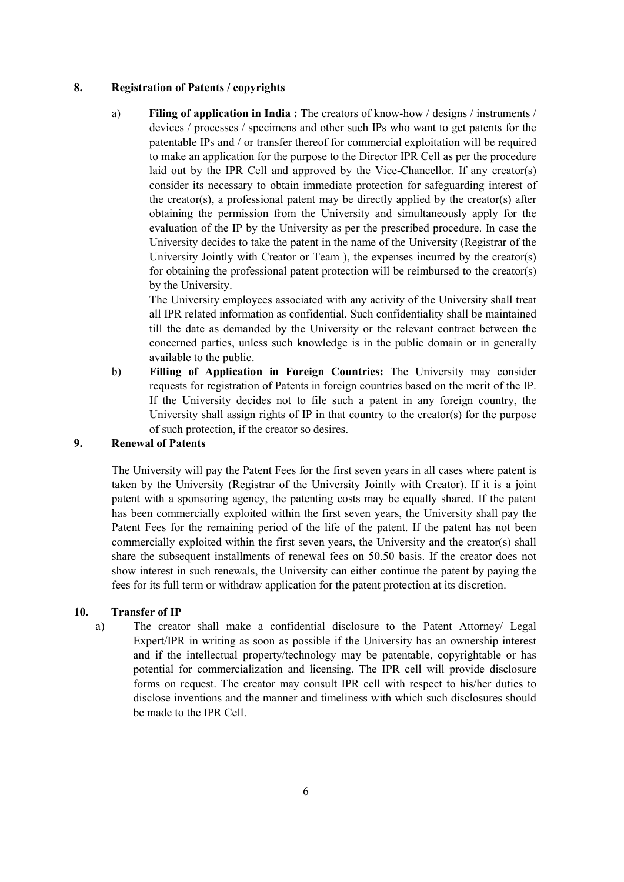### 8. Registration of Patents / copyrights

a) Filing of application in India : The creators of know-how / designs / instruments / devices / processes / specimens and other such IPs who want to get patents for the patentable IPs and / or transfer thereof for commercial exploitation will be required to make an application for the purpose to the Director IPR Cell as per the procedure laid out by the IPR Cell and approved by the Vice-Chancellor. If any creator(s) consider its necessary to obtain immediate protection for safeguarding interest of the creator(s), a professional patent may be directly applied by the creator(s) after obtaining the permission from the University and simultaneously apply for the evaluation of the IP by the University as per the prescribed procedure. In case the University decides to take the patent in the name of the University (Registrar of the University Jointly with Creator or Team ), the expenses incurred by the creator(s) for obtaining the professional patent protection will be reimbursed to the creator(s) by the University.

The University employees associated with any activity of the University shall treat all IPR related information as confidential. Such confidentiality shall be maintained till the date as demanded by the University or the relevant contract between the concerned parties, unless such knowledge is in the public domain or in generally available to the public.

b) Filling of Application in Foreign Countries: The University may consider requests for registration of Patents in foreign countries based on the merit of the IP. If the University decides not to file such a patent in any foreign country, the University shall assign rights of IP in that country to the creator(s) for the purpose of such protection, if the creator so desires.

## 9. Renewal of Patents

The University will pay the Patent Fees for the first seven years in all cases where patent is taken by the University (Registrar of the University Jointly with Creator). If it is a joint patent with a sponsoring agency, the patenting costs may be equally shared. If the patent has been commercially exploited within the first seven years, the University shall pay the Patent Fees for the remaining period of the life of the patent. If the patent has not been commercially exploited within the first seven years, the University and the creator(s) shall share the subsequent installments of renewal fees on 50.50 basis. If the creator does not show interest in such renewals, the University can either continue the patent by paying the fees for its full term or withdraw application for the patent protection at its discretion.

### 10. Transfer of IP

a) The creator shall make a confidential disclosure to the Patent Attorney/ Legal Expert/IPR in writing as soon as possible if the University has an ownership interest and if the intellectual property/technology may be patentable, copyrightable or has potential for commercialization and licensing. The IPR cell will provide disclosure forms on request. The creator may consult IPR cell with respect to his/her duties to disclose inventions and the manner and timeliness with which such disclosures should be made to the IPR Cell.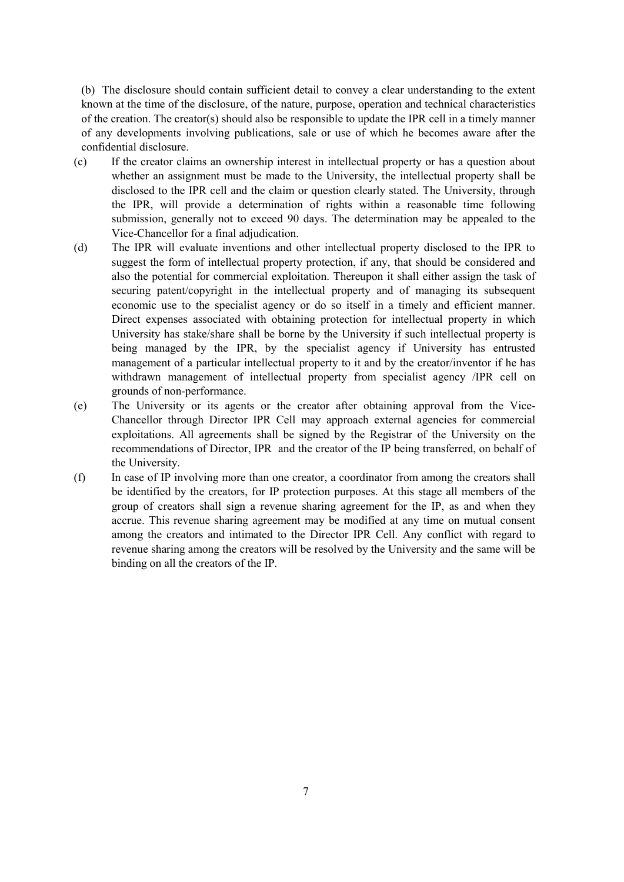(b) The disclosure should contain sufficient detail to convey a clear understanding to the extent known at the time of the disclosure, of the nature, purpose, operation and technical characteristics of the creation. The creator(s) should also be responsible to update the IPR cell in a timely manner of any developments involving publications, sale or use of which he becomes aware after the confidential disclosure.

- (c) If the creator claims an ownership interest in intellectual property or has a question about whether an assignment must be made to the University, the intellectual property shall be disclosed to the IPR cell and the claim or question clearly stated. The University, through the IPR, will provide a determination of rights within a reasonable time following submission, generally not to exceed 90 days. The determination may be appealed to the Vice-Chancellor for a final adjudication.
- (d) The IPR will evaluate inventions and other intellectual property disclosed to the IPR to suggest the form of intellectual property protection, if any, that should be considered and also the potential for commercial exploitation. Thereupon it shall either assign the task of securing patent/copyright in the intellectual property and of managing its subsequent economic use to the specialist agency or do so itself in a timely and efficient manner. Direct expenses associated with obtaining protection for intellectual property in which University has stake/share shall be borne by the University if such intellectual property is being managed by the IPR, by the specialist agency if University has entrusted management of a particular intellectual property to it and by the creator/inventor if he has withdrawn management of intellectual property from specialist agency /IPR cell on grounds of non-performance.
- (e) The University or its agents or the creator after obtaining approval from the Vice-Chancellor through Director IPR Cell may approach external agencies for commercial exploitations. All agreements shall be signed by the Registrar of the University on the recommendations of Director, IPR and the creator of the IP being transferred, on behalf of the University.
- (f) In case of IP involving more than one creator, a coordinator from among the creators shall be identified by the creators, for IP protection purposes. At this stage all members of the group of creators shall sign a revenue sharing agreement for the IP, as and when they accrue. This revenue sharing agreement may be modified at any time on mutual consent among the creators and intimated to the Director IPR Cell. Any conflict with regard to revenue sharing among the creators will be resolved by the University and the same will be binding on all the creators of the IP.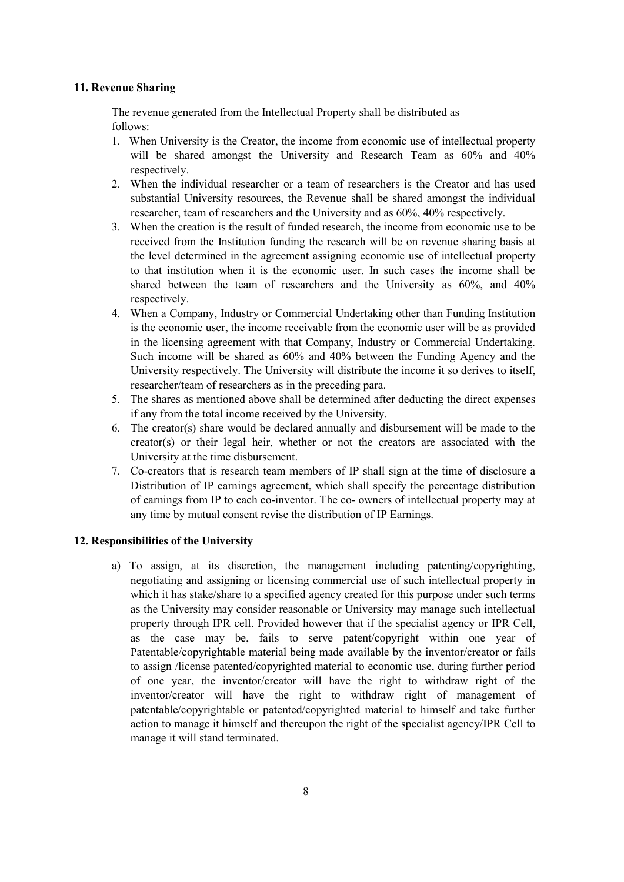#### 11. Revenue Sharing

The revenue generated from the Intellectual Property shall be distributed as follows:

- 1. When University is the Creator, the income from economic use of intellectual property will be shared amongst the University and Research Team as  $60\%$  and  $40\%$ respectively.
- 2. When the individual researcher or a team of researchers is the Creator and has used substantial University resources, the Revenue shall be shared amongst the individual researcher, team of researchers and the University and as 60%, 40% respectively.
- 3. When the creation is the result of funded research, the income from economic use to be received from the Institution funding the research will be on revenue sharing basis at the level determined in the agreement assigning economic use of intellectual property to that institution when it is the economic user. In such cases the income shall be shared between the team of researchers and the University as 60%, and 40% respectively.
- 4. When a Company, Industry or Commercial Undertaking other than Funding Institution is the economic user, the income receivable from the economic user will be as provided in the licensing agreement with that Company, Industry or Commercial Undertaking. Such income will be shared as 60% and 40% between the Funding Agency and the University respectively. The University will distribute the income it so derives to itself, researcher/team of researchers as in the preceding para.
- 5. The shares as mentioned above shall be determined after deducting the direct expenses if any from the total income received by the University.
- 6. The creator(s) share would be declared annually and disbursement will be made to the  $c$ reator(s) or their legal heir, whether or not the creators are associated with the University at the time disbursement.
- 7. Co-creators that is research team members of IP shall sign at the time of disclosure a Distribution of IP earnings agreement, which shall specify the percentage distribution of earnings from IP to each co-inventor. The co- owners of intellectual property may at any time by mutual consent revise the distribution of IP Earnings.

### 12. Responsibilities of the University

a) To assign, at its discretion, the management including patenting/copyrighting, negotiating and assigning or licensing commercial use of such intellectual property in which it has stake/share to a specified agency created for this purpose under such terms as the University may consider reasonable or University may manage such intellectual property through IPR cell. Provided however that if the specialist agency or IPR Cell, as the case may be, fails to serve patent/copyright within one year of Patentable/copyrightable material being made available by the inventor/creator or fails to assign /license patented/copyrighted material to economic use, during further period of one year, the inventor/creator will have the right to withdraw right of the inventor/creator will have the right to withdraw right of management of patentable/copyrightable or patented/copyrighted material to himself and take further action to manage it himself and thereupon the right of the specialist agency/IPR Cell to manage it will stand terminated.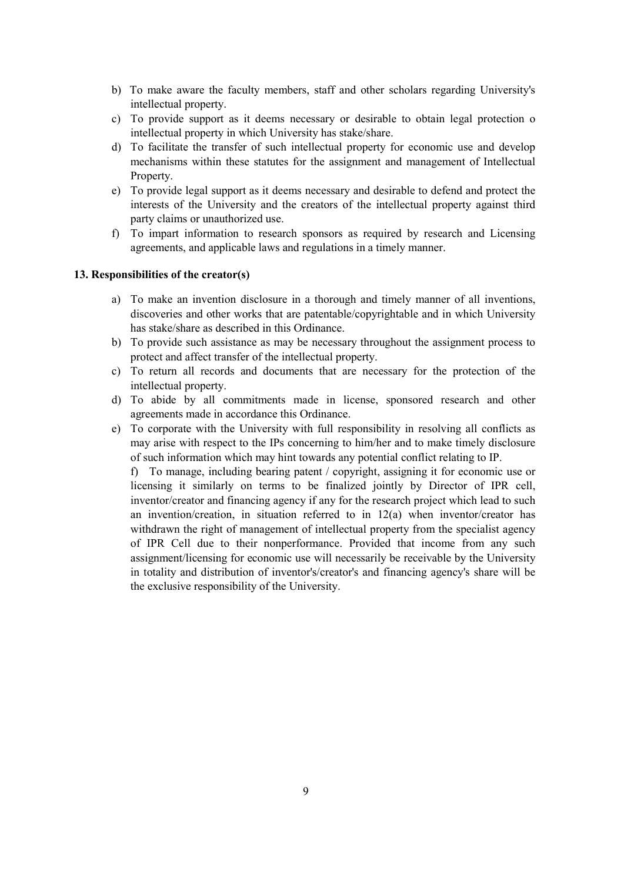- b) To make aware the faculty members, staff and other scholars regarding University's intellectual property.
- c) To provide support as it deems necessary or desirable to obtain legal protection o intellectual property in which University has stake/share.
- d) To facilitate the transfer of such intellectual property for economic use and develop mechanisms within these statutes for the assignment and management of Intellectual Property.
- e) To provide legal support as it deems necessary and desirable to defend and protect the interests of the University and the creators of the intellectual property against third party claims or unauthorized use.
- f) To impart information to research sponsors as required by research and Licensing agreements, and applicable laws and regulations in a timely manner.

### 13. Responsibilities of the creator(s)

- a) To make an invention disclosure in a thorough and timely manner of all inventions, discoveries and other works that are patentable/copyrightable and in which University has stake/share as described in this Ordinance.
- b) To provide such assistance as may be necessary throughout the assignment process to protect and affect transfer of the intellectual property.
- c) To return all records and documents that are necessary for the protection of the intellectual property.
- d) To abide by all commitments made in license, sponsored research and other agreements made in accordance this Ordinance.
- e) To corporate with the University with full responsibility in resolving all conflicts as may arise with respect to the IPs concerning to him/her and to make timely disclosure of such information which may hint towards any potential conflict relating to IP.

f) To manage, including bearing patent / copyright, assigning it for economic use or licensing it similarly on terms to be finalized jointly by Director of IPR cell, inventor/creator and financing agency if any for the research project which lead to such an invention/creation, in situation referred to in 12(a) when inventor/creator has withdrawn the right of management of intellectual property from the specialist agency of IPR Cell due to their nonperformance. Provided that income from any such assignment/licensing for economic use will necessarily be receivable by the University in totality and distribution of inventor's/creator's and financing agency's share will be the exclusive responsibility of the University.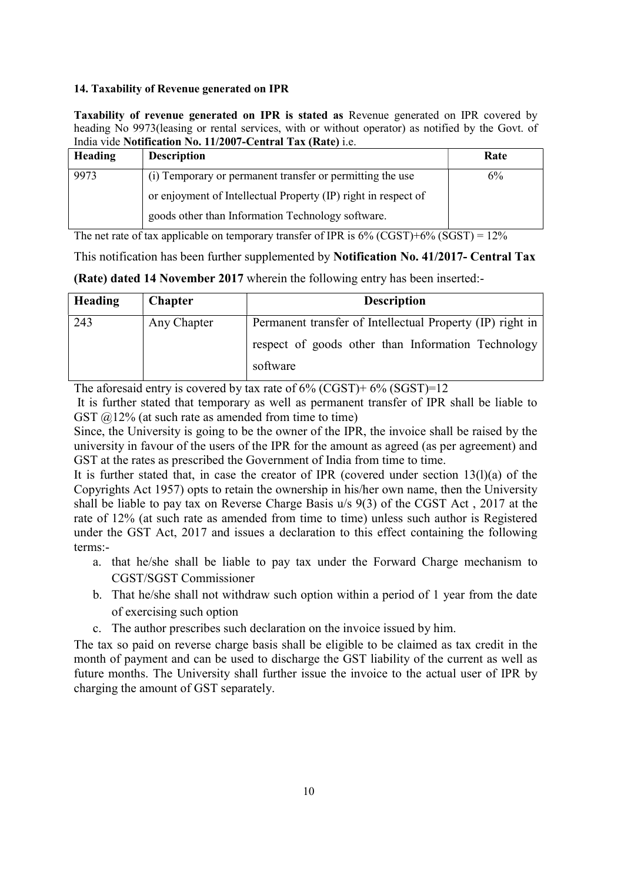### 14. Taxability of Revenue generated on IPR

Taxability of revenue generated on IPR is stated as Revenue generated on IPR covered by heading No 9973(leasing or rental services, with or without operator) as notified by the Govt. of India vide Notification No. 11/2007-Central Tax (Rate) i.e.

| Heading | <b>Description</b>                                             | Rate |
|---------|----------------------------------------------------------------|------|
| 9973    | (i) Temporary or permanent transfer or permitting the use      | 6%   |
|         | or enjoyment of Intellectual Property (IP) right in respect of |      |
|         | goods other than Information Technology software.              |      |

The net rate of tax applicable on temporary transfer of IPR is  $6\%$  (CGST)+ $6\%$  (SGST) =  $12\%$ 

This notification has been further supplemented by Notification No. 41/2017- Central Tax

|  |  |  | <b>(Rate) dated 14 November 2017</b> wherein the following entry has been inserted:- |  |  |  |  |  |  |  |  |  |
|--|--|--|--------------------------------------------------------------------------------------|--|--|--|--|--|--|--|--|--|
|--|--|--|--------------------------------------------------------------------------------------|--|--|--|--|--|--|--|--|--|

| Heading | <b>Chapter</b> | <b>Description</b>                                        |
|---------|----------------|-----------------------------------------------------------|
| 243     | Any Chapter    | Permanent transfer of Intellectual Property (IP) right in |
|         |                | respect of goods other than Information Technology        |
|         |                | software                                                  |

The aforesaid entry is covered by tax rate of  $6\%$  (CGST)+  $6\%$  (SGST)=12

 It is further stated that temporary as well as permanent transfer of IPR shall be liable to GST  $@12\%$  (at such rate as amended from time to time)

Since, the University is going to be the owner of the IPR, the invoice shall be raised by the university in favour of the users of the IPR for the amount as agreed (as per agreement) and GST at the rates as prescribed the Government of India from time to time.

It is further stated that, in case the creator of IPR (covered under section 13(l)(a) of the Copyrights Act 1957) opts to retain the ownership in his/her own name, then the University shall be liable to pay tax on Reverse Charge Basis u/s 9(3) of the CGST Act , 2017 at the rate of 12% (at such rate as amended from time to time) unless such author is Registered under the GST Act, 2017 and issues a declaration to this effect containing the following terms:-

- a. that he/she shall be liable to pay tax under the Forward Charge mechanism to CGST/SGST Commissioner
- b. That he/she shall not withdraw such option within a period of 1 year from the date of exercising such option
- c. The author prescribes such declaration on the invoice issued by him.

The tax so paid on reverse charge basis shall be eligible to be claimed as tax credit in the month of payment and can be used to discharge the GST liability of the current as well as future months. The University shall further issue the invoice to the actual user of IPR by charging the amount of GST separately.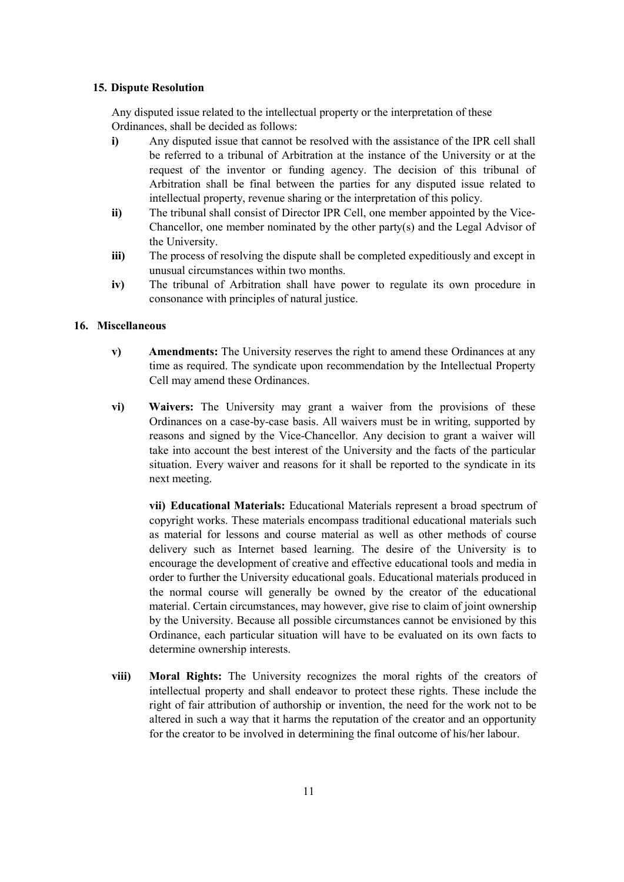#### 15. Dispute Resolution

Any disputed issue related to the intellectual property or the interpretation of these Ordinances, shall be decided as follows:

- i) Any disputed issue that cannot be resolved with the assistance of the IPR cell shall be referred to a tribunal of Arbitration at the instance of the University or at the request of the inventor or funding agency. The decision of this tribunal of Arbitration shall be final between the parties for any disputed issue related to intellectual property, revenue sharing or the interpretation of this policy.
- ii) The tribunal shall consist of Director IPR Cell, one member appointed by the Vice-Chancellor, one member nominated by the other party(s) and the Legal Advisor of the University.
- iii) The process of resolving the dispute shall be completed expeditiously and except in unusual circumstances within two months.
- iv) The tribunal of Arbitration shall have power to regulate its own procedure in consonance with principles of natural justice.

#### 16. Miscellaneous

- v) Amendments: The University reserves the right to amend these Ordinances at any time as required. The syndicate upon recommendation by the Intellectual Property Cell may amend these Ordinances.
- vi) Waivers: The University may grant a waiver from the provisions of these Ordinances on a case-by-case basis. All waivers must be in writing, supported by reasons and signed by the Vice-Chancellor. Any decision to grant a waiver will take into account the best interest of the University and the facts of the particular situation. Every waiver and reasons for it shall be reported to the syndicate in its next meeting.

vii) Educational Materials: Educational Materials represent a broad spectrum of copyright works. These materials encompass traditional educational materials such as material for lessons and course material as well as other methods of course delivery such as Internet based learning. The desire of the University is to encourage the development of creative and effective educational tools and media in order to further the University educational goals. Educational materials produced in the normal course will generally be owned by the creator of the educational material. Certain circumstances, may however, give rise to claim of joint ownership by the University. Because all possible circumstances cannot be envisioned by this Ordinance, each particular situation will have to be evaluated on its own facts to determine ownership interests.

viii) Moral Rights: The University recognizes the moral rights of the creators of intellectual property and shall endeavor to protect these rights. These include the right of fair attribution of authorship or invention, the need for the work not to be altered in such a way that it harms the reputation of the creator and an opportunity for the creator to be involved in determining the final outcome of his/her labour.